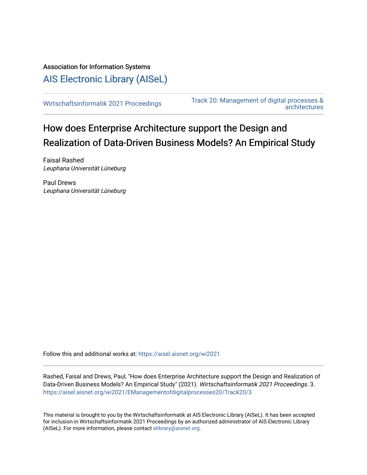Association for Information Systems [AIS Electronic Library \(AISeL\)](https://aisel.aisnet.org/)

[Wirtschaftsinformatik 2021 Proceedings](https://aisel.aisnet.org/wi2021) [Track 20: Management of digital processes &](https://aisel.aisnet.org/wi2021/EManagementofdigitalprocesses20)  [architectures](https://aisel.aisnet.org/wi2021/EManagementofdigitalprocesses20) 

# How does Enterprise Architecture support the Design and Realization of Data-Driven Business Models? An Empirical Study

Faisal Rashed Leuphana Universität Lüneburg

Paul Drews Leuphana Universität Lüneburg

Follow this and additional works at: [https://aisel.aisnet.org/wi2021](https://aisel.aisnet.org/wi2021?utm_source=aisel.aisnet.org%2Fwi2021%2FEManagementofdigitalprocesses20%2FTrack20%2F3&utm_medium=PDF&utm_campaign=PDFCoverPages) 

Rashed, Faisal and Drews, Paul, "How does Enterprise Architecture support the Design and Realization of Data-Driven Business Models? An Empirical Study" (2021). Wirtschaftsinformatik 2021 Proceedings. 3. [https://aisel.aisnet.org/wi2021/EManagementofdigitalprocesses20/Track20/3](https://aisel.aisnet.org/wi2021/EManagementofdigitalprocesses20/Track20/3?utm_source=aisel.aisnet.org%2Fwi2021%2FEManagementofdigitalprocesses20%2FTrack20%2F3&utm_medium=PDF&utm_campaign=PDFCoverPages)

This material is brought to you by the Wirtschaftsinformatik at AIS Electronic Library (AISeL). It has been accepted for inclusion in Wirtschaftsinformatik 2021 Proceedings by an authorized administrator of AIS Electronic Library (AISeL). For more information, please contact [elibrary@aisnet.org](mailto:elibrary@aisnet.org%3E).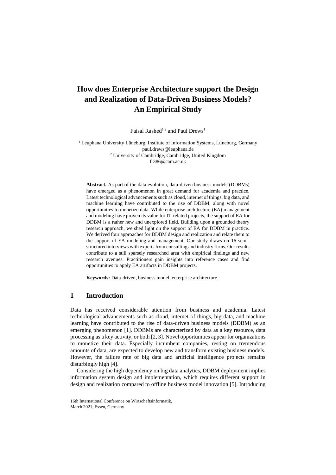## **How does Enterprise Architecture support the Design and Realization of Data-Driven Business Models? An Empirical Study**

Faisal Rashed<sup>1,2</sup> and Paul Drews<sup>1</sup>

<sup>1</sup> Leuphana University Lüneburg, Institute of Information Systems, Lüneburg, Germany paul.drews@leuphana.de <sup>2</sup> University of Cambridge, Cambridge, United Kingdom fr386@cam.ac.uk

**Abstract.** As part of the data evolution, data-driven business models (DDBMs) have emerged as a phenomenon in great demand for academia and practice. Latest technological advancements such as cloud, internet of things, big data, and machine learning have contributed to the rise of DDBM, along with novel opportunities to monetize data. While enterprise architecture (EA) management and modeling have proven its value for IT-related projects, the support of EA for DDBM is a rather new and unexplored field. Building upon a grounded theory research approach, we shed light on the support of EA for DDBM in practice. We derived four approaches for DDBM design and realization and relate them to the support of EA modeling and management. Our study draws on 16 semistructured interviews with experts from consulting and industry firms. Our results contribute to a still sparsely researched area with empirical findings and new research avenues. Practitioners gain insights into reference cases and find opportunities to apply EA artifacts in DDBM projects.

**Keywords:** Data-driven, business model, enterprise architecture.

## **1 Introduction**

Data has received considerable attention from business and academia. Latest technological advancements such as cloud, internet of things, big data, and machine learning have contributed to the rise of data-driven business models (DDBM) as an emerging phenomenon [1]. DDBMs are characterized by data as a key resource, data processing as a key activity, or both [2, 3]. Novel opportunities appear for organizations to monetize their data. Especially incumbent companies, resting on tremendous amounts of data, are expected to develop new and transform existing business models. However, the failure rate of big data and artificial intelligence projects remains disturbingly high [4].

Considering the high dependency on big data analytics, DDBM deployment implies information system design and implementation, which requires different support in design and realization compared to offline business model innovation [5]. Introducing

<sup>16</sup>th International Conference on Wirtschaftsinformatik, March 2021, Essen, Germany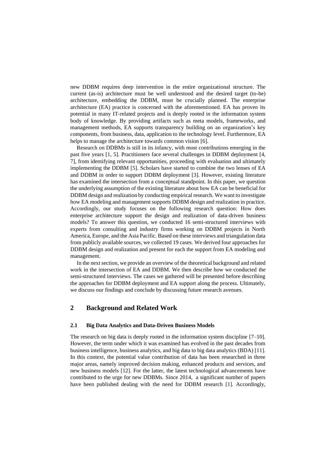new DDBM requires deep intervention in the entire organizational structure. The current (as-is) architecture must be well understood and the desired target (to-be) architecture, embedding the DDBM, must be crucially planned. The enterprise architecture (EA) practice is concerned with the aforementioned. EA has proven its potential in many IT-related projects and is deeply rooted in the information system body of knowledge. By providing artifacts such as meta models, frameworks, and management methods, EA supports transparency building on an organization's key components, from business, data, application to the technology level. Furthermore, EA helps to manage the architecture towards common vision [6].

Research on DDBMs is still in its infancy, with most contributions emerging in the past five years [1, 5]. Practitioners face several challenges in DDBM deployment [4, 7], from identifying relevant opportunities, proceeding with evaluation and ultimately implementing the DDBM [5]. Scholars have started to combine the two lenses of EA and DDBM in order to support DDBM deployment [3]. However, existing literature has examined the intersection from a conceptual standpoint. In this paper, we question the underlying assumption of the existing literature about how EA can be beneficial for DDBM design and realization by conducting empirical research. We want to investigate how EA modeling and management supports DDBM design and realization in practice. Accordingly, our study focuses on the following research question: How does enterprise architecture support the design and realization of data-driven business models? To answer this question, we conducted 16 semi-structured interviews with experts from consulting and industry firms working on DDBM projects in North America, Europe, and the Asia Pacific. Based on these interviews and triangulation data from publicly available sources, we collected 19 cases. We derived four approaches for DDBM design and realization and present for each the support from EA modeling and management.

In the next section, we provide an overview of the theoretical background and related work in the intersection of EA and DDBM. We then describe how we conducted the semi-structured interviews. The cases we gathered will be presented before describing the approaches for DDBM deployment and EA support along the process. Ultimately, we discuss our findings and conclude by discussing future research avenues.

## **2 Background and Related Work**

#### **2.1 Big Data Analytics and Data-Driven Business Models**

The research on big data is deeply rooted in the information system discipline [7–10]. However, the term under which it was examined has evolved in the past decades from business intelligence, business analytics, and big data to big data analytics (BDA) [11]. In this context, the potential value contribution of data has been researched in three major areas, namely improved decision making, enhanced products and services, and new business models [12]. For the latter, the latest technological advancements have contributed to the urge for new DDBMs. Since 2014, a significant number of papers have been published dealing with the need for DDBM research [1]. Accordingly,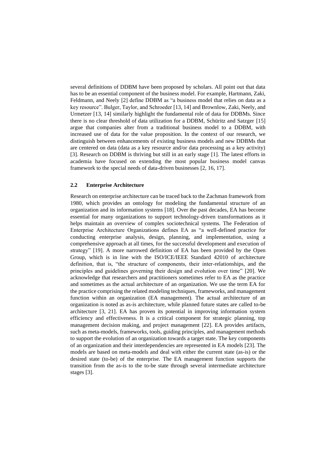several definitions of DDBM have been proposed by scholars. All point out that data has to be an essential component of the business model. For example, Hartmann, Zaki, Feldmann, and Neely [2] define DDBM as "a business model that relies on data as a key resource". Bulger, Taylor, and Schroeder [13, 14] and Brownlow, Zaki, Neely, and Urmetzer [13, 14] similarly highlight the fundamental role of data for DDBMs. Since there is no clear threshold of data utilization for a DDBM, Schüritz and Satzger [15] argue that companies alter from a traditional business model to a DDBM, with increased use of data for the value proposition. In the context of our research, we distinguish between enhancements of existing business models and new DDBMs that are centered on data (data as a key resource and/or data processing as a key activity) [3]. Research on DDBM is thriving but still in an early stage [1]. The latest efforts in academia have focused on extending the most popular business model canvas framework to the special needs of data-driven businesses [2, 16, 17].

#### **2.2 Enterprise Architecture**

Research on enterprise architecture can be traced back to the Zachman framework from 1980, which provides an ontology for modeling the fundamental structure of an organization and its information systems [18]. Over the past decades, EA has become essential for many organizations to support technology-driven transformations as it helps maintain an overview of complex sociotechnical systems. The Federation of Enterprise Architecture Organizations defines EA as "a well-defined practice for conducting enterprise analysis, design, planning, and implementation, using a comprehensive approach at all times, for the successful development and execution of strategy" [19]. A more narrowed definition of EA has been provided by the Open Group, which is in line with the ISO/ICE/IEEE Standard 42010 of architecture definition, that is, "the structure of components, their inter-relationships, and the principles and guidelines governing their design and evolution over time" [20]. We acknowledge that researchers and practitioners sometimes refer to EA as the practice and sometimes as the actual architecture of an organization. We use the term EA for the practice comprising the related modeling techniques, frameworks, and management function within an organization (EA management). The actual architecture of an organization is noted as as-is architecture, while planned future states are called to-be architecture [3, 21]. EA has proven its potential in improving information system efficiency and effectiveness. It is a critical component for strategic planning, top management decision making, and project management [22]. EA provides artifacts, such as meta-models, frameworks, tools, guiding principles, and management methods to support the evolution of an organization towards a target state. The key components of an organization and their interdependencies are represented in EA models [23]. The models are based on meta-models and deal with either the current state (as-is) or the desired state (to-be) of the enterprise. The EA management function supports the transition from the as-is to the to-be state through several intermediate architecture stages [3].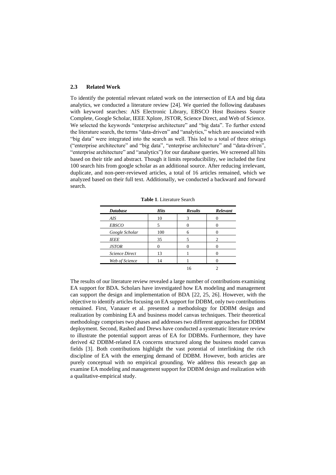#### **2.3 Related Work**

To identify the potential relevant related work on the intersection of EA and big data analytics, we conducted a literature review [24]. We queried the following databases with keyword searches: AIS Electronic Library, EBSCO Host Business Source Complete, Google Scholar, IEEE Xplore, JSTOR, Science Direct, and Web of Science. We selected the keywords "enterprise architecture" and "big data". To further extend the literature search, the terms "data-driven" and "analytics," which are associated with "big data" were integrated into the search as well. This led to a total of three strings ("enterprise architecture" and "big data", "enterprise architecture" and "data-driven", "enterprise architecture" and "analytics") for our database queries. We screened all hits based on their title and abstract. Though it limits reproducibility, we included the first 100 search hits from google scholar as an additional source. After reducing irrelevant, duplicate, and non-peer-reviewed articles, a total of 16 articles remained, which we analyzed based on their full text. Additionally, we conducted a backward and forward search.

| <b>Database</b>       | <b>Hits</b> | <b>Results</b> | Relevant |
|-----------------------|-------------|----------------|----------|
| AIS                   | 10          |                |          |
| <b>EBSCO</b>          | 5           |                |          |
| Google Scholar        | 100         | 6              |          |
| <b>IEEE</b>           | 35          |                | 2        |
| <b>JSTOR</b>          |             |                |          |
| <b>Science Direct</b> | 13          |                |          |
| Web of Science        | 14          |                |          |
|                       |             | 16             |          |

**Table 1**. Literature Search

The results of our literature review revealed a large number of contributions examining EA support for BDA. Scholars have investigated how EA modeling and management can support the design and implementation of BDA [22, 25, 26]. However, with the objective to identify articles focusing on EA support for DDBM, only two contributions remained. First, Vanauer et al. presented a methodology for DDBM design and realization by combining EA and business model canvas techniques. Their theoretical methodology comprises two phases and addresses two different approaches for DDBM deployment. Second, Rashed and Drews have conducted a systematic literature review to illustrate the potential support areas of EA for DDBMs. Furthermore, they have derived 42 DDBM-related EA concerns structured along the business model canvas fields [3]. Both contributions highlight the vast potential of interlinking the rich discipline of EA with the emerging demand of DDBM. However, both articles are purely conceptual with no empirical grounding. We address this research gap an examine EA modeling and management support for DDBM design and realization with a qualitative-empirical study.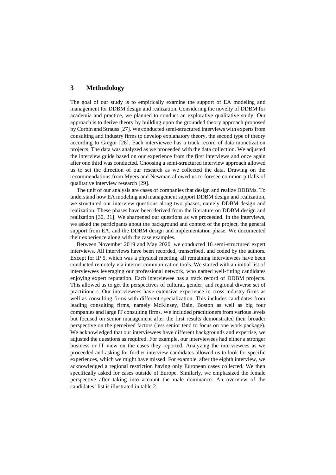## **3 Methodology**

The goal of our study is to empirically examine the support of EA modeling and management for DDBM design and realization. Considering the novelty of DDBM for academia and practice, we planned to conduct an explorative qualitative study. Our approach is to derive theory by building upon the grounded theory approach proposed by Corbin and Strauss [27]. We conducted semi-structured interviews with experts from consulting and industry firms to develop explanatory theory, the second type of theory according to Gregor [28]. Each interviewee has a track record of data monetization projects. The data was analyzed as we proceeded with the data collection. We adjusted the interview guide based on our experience from the first interviews and once again after one third was conducted. Choosing a semi-structured interview approach allowed us to set the direction of our research as we collected the data. Drawing on the recommendations from Myers and Newman allowed us to foresee common pitfalls of qualitative interview research [29].

The unit of our analysis are cases of companies that design and realize DDBMs. To understand how EA modeling and management support DDBM design and realization, we structured our interview questions along two phases, namely DDBM design and realization. These phases have been derived from the literature on DDBM design and realization [30, 31]. We sharpened our questions as we proceeded. In the interviews, we asked the participants about the background and context of the project, the general support from EA, and the DDBM design and implementation phase. We documented their experience along with the case examples.

Between November 2019 and May 2020, we conducted 16 semi-structured expert interviews. All interviews have been recorded, transcribed, and coded by the authors. Except for IP 5, which was a physical meeting, all remaining interviewees have been conducted remotely via internet communication tools. We started with an initial list of interviewees leveraging our professional network, who named well-fitting candidates enjoying expert reputation. Each interviewee has a track record of DDBM projects. This allowed us to get the perspectives of cultural, gender, and regional diverse set of practitioners. Our interviewees have extensive experience in cross-industry firms as well as consulting firms with different specialization. This includes candidates from leading consulting firms, namely McKinsey, Bain, Boston as well as big four companies and large IT consulting firms. We included practitioners from various levels but focused on senior management after the first results demonstrated their broader perspective on the perceived factors (less senior tend to focus on one work package). We acknowledged that our interviewees have different backgrounds and expertise, we adjusted the questions as required. For example, our interviewees had either a stronger business or IT view on the cases they reported. Analyzing the interviewees as we proceeded and asking for further interview candidates allowed us to look for specific experiences, which we might have missed. For example, after the eighth interview, we acknowledged a regional restriction having only European cases collected. We then specifically asked for cases outside of Europe. Similarly, we emphasized the female perspective after taking into account the male dominance. An overview of the candidates' list is illustrated in table 2.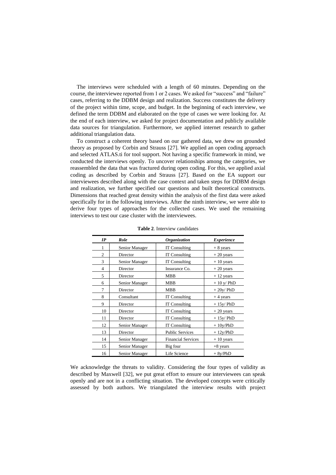The interviews were scheduled with a length of 60 minutes. Depending on the course, the interviewee reported from 1 or 2 cases. We asked for "success" and "failure" cases, referring to the DDBM design and realization. Success constitutes the delivery of the project within time, scope, and budget. In the beginning of each interview, we defined the term DDBM and elaborated on the type of cases we were looking for. At the end of each interview, we asked for project documentation and publicly available data sources for triangulation. Furthermore, we applied internet research to gather additional triangulation data.

To construct a coherent theory based on our gathered data, we drew on grounded theory as proposed by Corbin and Strauss [27]. We applied an open coding approach and selected ATLAS.ti for tool support. Not having a specific framework in mind, we conducted the interviews openly. To uncover relationships among the categories, we reassembled the data that was fractured during open coding. For this, we applied axial coding as described by Corbin and Strauss [27]. Based on the EA support our interviewees described along with the case context and taken steps for DDBM design and realization, we further specified our questions and built theoretical constructs. Dimensions that reached great density within the analysis of the first data were asked specifically for in the following interviews. After the ninth interview, we were able to derive four types of approaches for the collected cases. We used the remaining interviews to test our case cluster with the interviewees.

| IP             | Role           | <b>Organization</b>       | <b>Experience</b> |
|----------------|----------------|---------------------------|-------------------|
| 1              | Senior Manager | <b>IT Consulting</b>      | $+8$ years        |
| $\overline{c}$ | Director       | IT Consulting             | $+20$ years       |
| 3              | Senior Manager | <b>IT Consulting</b>      | $+10$ years       |
| 4              | Director       | Insurance Co.             | $+20$ years       |
| 5              | Director       | MBB                       | $+12$ years       |
| 6              | Senior Manager | <b>MBB</b>                | $+10$ y/PhD       |
| 7              | Director       | <b>MBB</b>                | $+20y/PhD$        |
| 8              | Consultant     | IT Consulting             | $+4$ years        |
| 9              | Director       | IT Consulting             | $+15y/PhD$        |
| 10             | Director       | IT Consulting             | $+20$ years       |
| 11             | Director       | IT Consulting             | $+15y/PhD$        |
| 12             | Senior Manager | IT Consulting             | $+10y/PhD$        |
| 13             | Director       | <b>Public Services</b>    | $+ 12y/PhD$       |
| 14             | Senior Manager | <b>Financial Services</b> | $+10$ years       |
| 15             | Senior Manager | Big four                  | $+8$ years        |
| 16             | Senior Manager | Life Science              | $+ 8y/PhD$        |

**Table 2**. Interview candidates

We acknowledge the threats to validity. Considering the four types of validity as described by Maxwell [32], we put great effort to ensure our interviewees can speak openly and are not in a conflicting situation. The developed concepts were critically assessed by both authors. We triangulated the interview results with project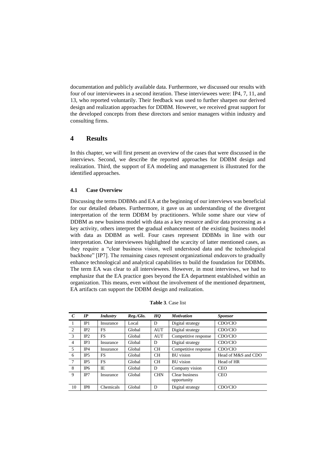documentation and publicly available data. Furthermore, we discussed our results with four of our interviewees in a second iteration. These interviewees were: IP4, 7, 11, and 13, who reported voluntarily. Their feedback was used to further sharpen our derived design and realization approaches for DDBM. However, we received great support for the developed concepts from these directors and senior managers within industry and consulting firms.

## **4 Results**

In this chapter, we will first present an overview of the cases that were discussed in the interviews. Second, we describe the reported approaches for DDBM design and realization. Third, the support of EA modeling and management is illustrated for the identified approaches.

### **4.1 Case Overview**

Discussing the terms DDBMs and EA at the beginning of our interviews was beneficial for our detailed debates. Furthermore, it gave us an understanding of the divergent interpretation of the term DDBM by practitioners. While some share our view of DDBM as new business model with data as a key resource and/or data processing as a key activity, others interpret the gradual enhancement of the existing business model with data as DDBM as well. Four cases represent DDBMs in line with our interpretation. Our interviewees highlighted the scarcity of latter mentioned cases, as they require a "clear business vision, well understood data and the technological backbone" [IP7]. The remaining cases represent organizational endeavors to gradually enhance technological and analytical capabilities to build the foundation for DDBMs. The term EA was clear to all interviewees. However, in most interviews, we had to emphasize that the EA practice goes beyond the EA department established within an organization. This means, even without the involvement of the mentioned department, EA artifacts can support the DDBM design and realization.

| $\mathcal{C}$  | IP              | <b>Industry</b> | Reg./Glo. | HQ         | <b>Motivation</b>             | <b>Sponsor</b>      |
|----------------|-----------------|-----------------|-----------|------------|-------------------------------|---------------------|
|                | IP1             | Insurance       | Local     | D          | Digital strategy              | CDO/CIO             |
| $\overline{2}$ | IP <sub>2</sub> | <b>FS</b>       | Global    | AUT        | Digital strategy              | CDO/CIO             |
| $\mathcal{E}$  | IP <sub>2</sub> | <b>FS</b>       | Global    | AUT        | Competitive response          | CDO/CIO             |
| $\overline{4}$ | IP3             | Insurance       | Global    | D          | Digital strategy              | CDO/CIO             |
| $\overline{5}$ | IP4             | Insurance       | Global    | <b>CH</b>  | Competitive response          | CDO/CIO             |
| 6              | IP <sub>5</sub> | FS              | Global    | <b>CH</b>  | <b>BU</b> vision              | Head of M&S and CDO |
| $\overline{7}$ | IP <sub>5</sub> | <b>FS</b>       | Global    | <b>CH</b>  | <b>BU</b> vision              | Head of HR          |
| 8              | IP <sub>6</sub> | IE.             | Global    | D          | Company vision                | <b>CEO</b>          |
| 9              | IP7             | Insurance       | Global    | <b>CHN</b> | Clear business<br>opportunity | <b>CEO</b>          |
| 10             | IP8             | Chemicals       | Global    | D          | Digital strategy              | CDO/CIO             |

**Table 3**. Case list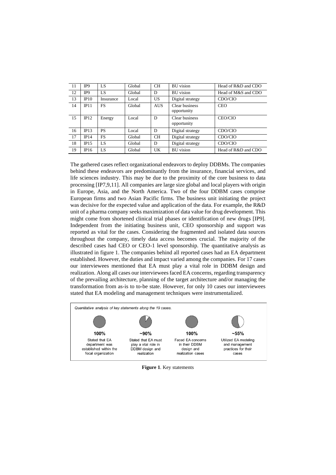| 11 | IP <sub>9</sub> | LS        | Global | <b>CH</b>  | <b>BU</b> vision              | Head of R&D and CDO |
|----|-----------------|-----------|--------|------------|-------------------------------|---------------------|
| 12 | IP <sub>9</sub> | LS        | Global | D          | <b>BU</b> vision              | Head of M&S and CDO |
| 13 | IP10            | Insurance | Local  | US.        | Digital strategy              | CDO/CIO             |
| 14 | IP11            | <b>FS</b> | Global | <b>AUS</b> | Clear business<br>opportunity | <b>CEO</b>          |
| 15 | IP12            | Energy    | Local  | D          | Clear business<br>opportunity | <b>CEO/CIO</b>      |
| 16 | IP13            | <b>PS</b> | Local  | D          | Digital strategy              | CDO/CIO             |
| 17 | IP14            | FS        | Global | <b>CH</b>  | Digital strategy              | CDO/CIO             |
| 18 | IP15            | LS        | Global | D          | Digital strategy              | CDO/CIO             |
| 19 | IP16            | LS        | Global | UK         | <b>BU</b> vision              | Head of R&D and CDO |

The gathered cases reflect organizational endeavors to deploy DDBMs. The companies behind these endeavors are predominantly from the insurance, financial services, and life sciences industry. This may be due to the proximity of the core business to data processing [IP7,9,11]. All companies are large size global and local players with origin in Europe, Asia, and the North America. Two of the four DDBM cases comprise European firms and two Asian Pacific firms. The business unit initiating the project was decisive for the expected value and application of the data. For example, the R&D unit of a pharma company seeks maximization of data value for drug development. This might come from shortened clinical trial phases or identification of new drugs [IP9]. Independent from the initiating business unit, CEO sponsorship and support was reported as vital for the cases. Considering the fragmented and isolated data sources throughout the company, timely data access becomes crucial. The majority of the described cases had CEO or CEO-1 level sponsorship. The quantitative analysis as illustrated in figure 1. The companies behind all reported cases had an EA department established. However, the duties and impact varied among the companies. For 17 cases our interviewees mentioned that EA must play a vital role in DDBM design and realization. Along all cases our interviewees faced EA concerns, regarding transparency of the prevailing architecture, planning of the target architecture and/or managing the transformation from as-is to to-be state. However, for only 10 cases our interviewees stated that EA modeling and management techniques were instrumentalized.



**Figure 1**. Key statements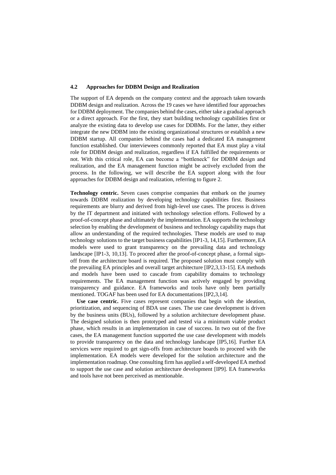#### **4.2 Approaches for DDBM Design and Realization**

The support of EA depends on the company context and the approach taken towards DDBM design and realization. Across the 19 cases we have identified four approaches for DDBM deployment. The companies behind the cases, either take a gradual approach or a direct approach. For the first, they start building technology capabilities first or analyze the existing data to develop use cases for DDBMs. For the latter, they either integrate the new DDBM into the existing organizational structures or establish a new DDBM startup. All companies behind the cases had a dedicated EA management function established. Our interviewees commonly reported that EA must play a vital role for DDBM design and realization, regardless if EA fulfilled the requirements or not. With this critical role, EA can become a "bottleneck" for DDBM design and realization, and the EA management function might be actively excluded from the process. In the following, we will describe the EA support along with the four approaches for DDBM design and realization, referring to figure 2.

**Technology centric.** Seven cases comprise companies that embark on the journey towards DDBM realization by developing technology capabilities first. Business requirements are blurry and derived from high-level use cases. The process is driven by the IT department and initiated with technology selection efforts. Followed by a proof-of-concept phase and ultimately the implementation. EA supports the technology selection by enabling the development of business and technology capability maps that allow an understanding of the required technologies. These models are used to map technology solutions to the target business capabilities [IP1-3, 14,15]. Furthermore, EA models were used to grant transparency on the prevailing data and technology landscape [IP1-3, 10,13]. To proceed after the proof-of-concept phase, a formal signoff from the architecture board is required. The proposed solution must comply with the prevailing EA principles and overall target architecture [IP2,3,13-15]. EA methods and models have been used to cascade from capability domains to technology requirements. The EA management function was actively engaged by providing transparency and guidance. EA frameworks and tools have only been partially mentioned. TOGAF has been used for EA documentations [IP2,3,14].

**Use case centric.** Five cases represent companies that begin with the ideation, prioritization, and sequencing of BDA use cases. The use case development is driven by the business units (BUs), followed by a solution architecture development phase. The designed solution is then prototyped and tested via a minimum viable product phase, which results in an implementation in case of success. In two out of the five cases, the EA management function supported the use case development with models to provide transparency on the data and technology landscape [IP5,16]. Further EA services were required to get sign-offs from architecture boards to proceed with the implementation. EA models were developed for the solution architecture and the implementation roadmap. One consulting firm has applied a self-developed EA method to support the use case and solution architecture development [IP9]. EA frameworks and tools have not been perceived as mentionable.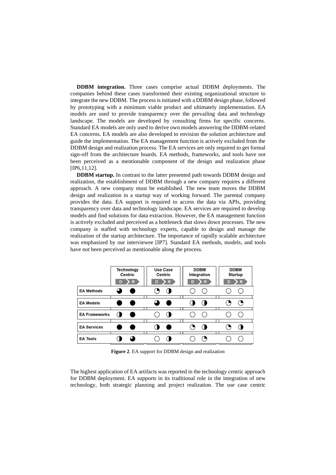**DDBM integration.** Three cases comprise actual DDBM deployments. The companies behind these cases transformed their existing organizational structure to integrate the new DDBM. The process is initiated with a DDBM design phase, followed by prototyping with a minimum viable product and ultimately implementation. EA models are used to provide transparency over the prevailing data and technology landscape. The models are developed by consulting firms for specific concerns. Standard EA models are only used to derive own models answering the DDBM-related EA concerns. EA models are also developed to envision the solution architecture and guide the implementation. The EA management function is actively excluded from the DDBM design and realization process. The EA services are only required to get formal sign-off from the architecture boards. EA methods, frameworks, and tools have not been perceived as a mentionable component of the design and realization phase [IP6,11,12].

**DDBM startup.** In contrast to the latter presented path towards DDBM design and realization, the establishment of DDBM through a new company requires a different approach. A new company must be established. The new team moves the DDBM design and realization in a startup way of working forward. The parental company provides the data. EA support is required to access the data via APIs, providing transparency over data and technology landscape. EA services are required to develop models and find solutions for data extraction. However, the EA management function is actively excluded and perceived as a bottleneck that slows down processes. The new company is staffed with technology experts, capable to design and manage the realization of the startup architecture. The importance of rapidly scalable architecture was emphasized by our interviewee [IP7]. Standard EA methods, models, and tools have not been perceived as mentionable along the process.

|                      | <b>Technology</b><br><b>Centric</b><br>$\mathbb{R}$<br>D | <b>Use Case</b><br><b>Centric</b><br>R<br>D | <b>DDBM</b><br>Integration<br>$\mathbb{R}$<br>D | <b>DDBM</b><br><b>Startup</b><br>$\mathsf{R}$<br>D |
|----------------------|----------------------------------------------------------|---------------------------------------------|-------------------------------------------------|----------------------------------------------------|
| <b>EA Methods</b>    |                                                          | ( ■                                         |                                                 |                                                    |
| <b>EA Models</b>     |                                                          |                                             | ( <b>D</b>                                      |                                                    |
| <b>EA Frameworks</b> | ( <b>D</b><br>₩                                          |                                             |                                                 |                                                    |
| <b>EA Services</b>   |                                                          |                                             | O                                               |                                                    |
| <b>EA Tools</b>      |                                                          |                                             | ш                                               | ÷                                                  |

**Figure 2**. EA support for DDBM design and realization

The highest application of EA artifacts was reported in the technology centric approach for DDBM deployment. EA supports in its traditional role in the integration of new technology, both strategic planning and project realization. The use case centric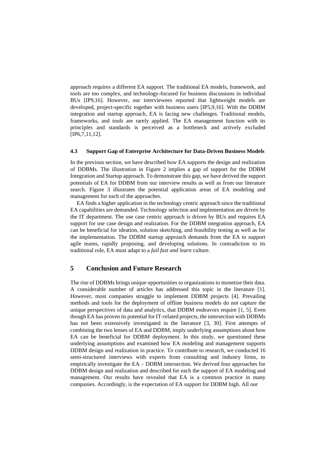approach requires a different EA support. The traditional EA models, framework, and tools are too complex, and technology-focused for business discussions in individual BUs [IP9,16]. However, our interviewees reported that lightweight models are developed, project-specific together with business users [IP5,9,16]. With the DDBM integration and startup approach, EA is facing new challenges. Traditional models, frameworks, and tools are rarely applied. The EA management function with its principles and standards is perceived as a bottleneck and actively excluded [IP6,7,11,12].

### **4.3 Support Gap of Enterprise Architecture for Data-Driven Business Models**

In the previous section, we have described how EA supports the design and realization of DDBMs. The illustration in Figure 2 implies a gap of support for the DDBM Integration and Startup approach. To demonstrate this gap, we have derived the support potentials of EA for DDBM from our interview results as well as from our literature search. Figure 3 illustrates the potential application areas of EA modeling and management for each of the approaches.

EA finds a higher application in the technology centric approach since the traditional EA capabilities are demanded. Technology selection and implementation are driven by the IT department. The use case centric approach is driven by BUs and requires EA support for use case design and realization. For the DDBM integration approach, EA can be beneficial for ideation, solution sketching, and feasibility testing as well as for the implementation. The DDBM startup approach demands from the EA to support agile teams, rapidly proposing, and developing solutions. In contradiction to its traditional role, EA must adapt to a *fail fast and learn* culture.

## **5 Conclusion and Future Research**

The rise of DDBMs brings unique opportunities to organizations to monetize their data. A considerable number of articles has addressed this topic in the literature [1]. However, most companies struggle to implement DDBM projects [4]. Prevailing methods and tools for the deployment of offline business models do not capture the unique perspectives of data and analytics, that DDBM endeavors require [1, 5]. Even though EA has proven its potential for IT-related projects, the intersection with DDBMs has not been extensively investigated in the literature [3, 30]. First attempts of combining the two lenses of EA and DDBM, imply underlying assumptions about how EA can be beneficial for DDBM deployment. In this study, we questioned these underlying assumptions and examined how EA modeling and management supports DDBM design and realization in practice. To contribute to research, we conducted 16 semi-structured interviews with experts from consulting and industry firms, to empirically investigate the EA – DDBM intersection. We derived four approaches for DDBM design and realization and described for each the support of EA modeling and management. Our results have revealed that EA is a common practice in many companies. Accordingly, is the expectation of EA support for DDBM high. All our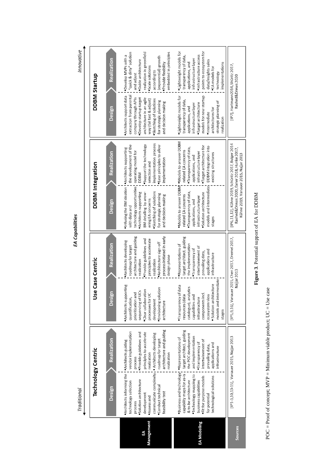Innovative

|                                   | Traditional                                                                                                                                                                                                                                                                                                                                                                                                                                                        |                                                                                                                                                                                                                                                                                                                                                    |                                                                                                                                                                                                                                                                                                                                                                                                                |                                                                                                                                                                                                                                                                                                                                                                                                               | <b>EA</b> Capabilities                                                                                                                                                                                                                                                                                                                                                                                                                |                                                                                                                                                                                                                                                                                                                                                                                         |                                                                                                                                                                                                                                                                                                                                                                                                                                                                          | Innovative                                                                                                                                                                                                                                                                                                                                                                                                                                                        |
|-----------------------------------|--------------------------------------------------------------------------------------------------------------------------------------------------------------------------------------------------------------------------------------------------------------------------------------------------------------------------------------------------------------------------------------------------------------------------------------------------------------------|----------------------------------------------------------------------------------------------------------------------------------------------------------------------------------------------------------------------------------------------------------------------------------------------------------------------------------------------------|----------------------------------------------------------------------------------------------------------------------------------------------------------------------------------------------------------------------------------------------------------------------------------------------------------------------------------------------------------------------------------------------------------------|---------------------------------------------------------------------------------------------------------------------------------------------------------------------------------------------------------------------------------------------------------------------------------------------------------------------------------------------------------------------------------------------------------------|---------------------------------------------------------------------------------------------------------------------------------------------------------------------------------------------------------------------------------------------------------------------------------------------------------------------------------------------------------------------------------------------------------------------------------------|-----------------------------------------------------------------------------------------------------------------------------------------------------------------------------------------------------------------------------------------------------------------------------------------------------------------------------------------------------------------------------------------|--------------------------------------------------------------------------------------------------------------------------------------------------------------------------------------------------------------------------------------------------------------------------------------------------------------------------------------------------------------------------------------------------------------------------------------------------------------------------|-------------------------------------------------------------------------------------------------------------------------------------------------------------------------------------------------------------------------------------------------------------------------------------------------------------------------------------------------------------------------------------------------------------------------------------------------------------------|
|                                   | <b>Technology Centric</b>                                                                                                                                                                                                                                                                                                                                                                                                                                          |                                                                                                                                                                                                                                                                                                                                                    |                                                                                                                                                                                                                                                                                                                                                                                                                | Jse Case Centric                                                                                                                                                                                                                                                                                                                                                                                              | DDBM Integration                                                                                                                                                                                                                                                                                                                                                                                                                      |                                                                                                                                                                                                                                                                                                                                                                                         |                                                                                                                                                                                                                                                                                                                                                                                                                                                                          | <b>DDBM Startup</b>                                                                                                                                                                                                                                                                                                                                                                                                                                               |
|                                   | Design                                                                                                                                                                                                                                                                                                                                                                                                                                                             | <b>Realization</b>                                                                                                                                                                                                                                                                                                                                 | Design                                                                                                                                                                                                                                                                                                                                                                                                         | Realization                                                                                                                                                                                                                                                                                                                                                                                                   | Design                                                                                                                                                                                                                                                                                                                                                                                                                                | <b>Realization</b>                                                                                                                                                                                                                                                                                                                                                                      | Design                                                                                                                                                                                                                                                                                                                                                                                                                                                                   | <b>Realization</b>                                                                                                                                                                                                                                                                                                                                                                                                                                                |
| Vianagement<br>EA Modeling<br>ſA. | communicate complexity . Architects developing<br>"Business and technology" "Representations of<br>"Architects informing the ! "Architects guiding<br>capability maps for as-is<br>"Technology mapping to<br>Fit for purpose models<br>technological solutions<br>Solution architecture<br>& to-be architecture<br>business capabilities<br>technology selection<br>Conduct technical<br>feasibility test<br>development<br>for potential<br>Assess and<br>process | architecture and guiding<br>target architect. guiding<br>vendor implementation<br>Provide guidelines and<br>principles to accelerate<br>the POC development<br>and implementation<br>roadmap for target<br>intertwinement of<br>Transparency of<br>applications and<br>prevailing data,<br>infrastructure<br>realization<br>realization<br>process | models and intermediate<br>Solution architecture<br>Architects supporting<br>of data<br>catalogue), analytics<br><b>Envisioning solution</b><br>Clear collaboration<br>sequencing of UCs<br>components incl.<br>prioritization and<br>processes for UC<br>ecosystem view<br>resources (data<br>capabilities and<br>quantification,<br>·Transparency<br>infrastructure<br>development<br>architecture<br>stages | architecture and guiding<br>process initiated in early<br>target architect. guiding<br>Provide guidelines and<br>principles to accelerate<br>Architects developing<br>Architecture sign-off<br>Representations of<br>the implementation<br>roadmap for target<br>intertwinement of<br>Transparency of<br>applications and<br>prevailing data,<br>infrastructure<br>design phase<br>realization<br>realization | "Infusing the BM ideation I "Architects supporting<br>Models to answer DDBM<br>models and intermediate<br>technology opportunities<br>Sketching of solutions<br>Transparency of data,<br>BM detailing by answ-<br>Solution architecture<br>Architects supporting<br>for strategic planning<br>related EA concerns<br>and decision making<br>infrastructure layer<br>ering EA concerns<br>applications, and<br>with data and<br>stages | Models to answer DDBM<br>implementation process<br>the development of the<br>Support the technology<br><b>Ease principles to allow</b><br>Target architecture for<br>DDBM integration into<br>Transparency of data,<br>related EA concerns<br>operating model for<br>infrastructure layer<br>existing structures<br>applications, and<br>implementation<br>selection and<br><b>DDBM</b> | Architects support data<br>extraction from parental<br>"Lightweight models for<br>models for new startup<br>company through APIs<br>architecture in an agile<br>Develop startup target<br>Sketching of solutions<br>way (fail fast & adjust)<br>transparency of data,<br>for strategic planning<br>strategic planning of<br>and decision making<br>Target architecture<br>infrastructure layer<br>applications, and<br>architectures for<br>·Intermediate<br>realization | realization in greenfield<br>"Lightweight models for<br>"quick & dirty" solution<br>embedded in principles<br>points to ecosystem for<br>Develop MVPs with a<br>Infrastructure access<br>transparency of data,<br>(exponential) growth<br>infrastructure layer<br>Guide architecture<br>data/insights sales<br>applications, and<br>implementations<br>Provide flexibility<br>Scale solutions<br><b>EA</b> models for<br>according to<br>technology<br>and adjust |
| Sources                           | [IP1-3,10,13-15], Vanauer 2015, Najjar 2013                                                                                                                                                                                                                                                                                                                                                                                                                        |                                                                                                                                                                                                                                                                                                                                                    | [IP5,9,16], Vanauer 2015, Chen 2017, Dremel 2017,<br>Najjar 2013                                                                                                                                                                                                                                                                                                                                               |                                                                                                                                                                                                                                                                                                                                                                                                               | [IP6,11,12], Kühne 2019, Schüritz 2017, Bulger 2014<br>Rashed&Drews 2020, Exner 2018, Hunke 2017,<br>Kühne 2019, Vanauer 2015, Najjar 2013                                                                                                                                                                                                                                                                                            |                                                                                                                                                                                                                                                                                                                                                                                         |                                                                                                                                                                                                                                                                                                                                                                                                                                                                          | (IP7), Hartmann2014, Shüritz 2017,<br>Rashed&Drews 2020                                                                                                                                                                                                                                                                                                                                                                                                           |

Figure 3. Potential support of EA for DDBM **Figure 3**. Potential support of EA for DDBM

POC = Proof of concept;  $MVP = Minimum$  viable product;  $UC = Use$  case POC = Proof of concept; MVP = Minimum viable product;  $UC = Use$  case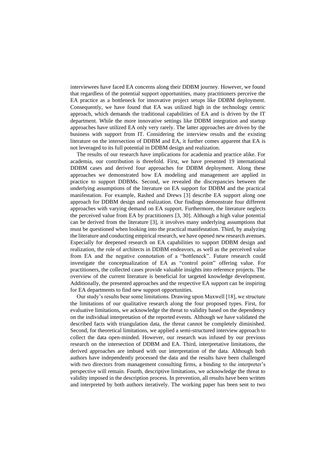interviewees have faced EA concerns along their DDBM journey. However, we found that regardless of the potential support opportunities, many practitioners perceive the EA practice as a bottleneck for innovative project setups like DDBM deployment. Consequently, we have found that EA was utilized high in the technology centric approach, which demands the traditional capabilities of EA and is driven by the IT department. While the more innovative settings like DDBM integration and startup approaches have utilized EA only very rarely. The latter approaches are driven by the business with support from IT. Considering the interview results and the existing literature on the intersection of DDBM and EA, it further comes apparent that EA is not leveraged to its full potential in DDBM design and realization.

The results of our research have implications for academia and practice alike. For academia, our contribution is threefold. First, we have presented 19 international DDBM cases and derived four approaches for DDBM deployment. Along these approaches we demonstrated how EA modeling and management are applied in practice to support DDBMs. Second, we revealed the discrepancies between the underlying assumptions of the literature on EA support for DDBM and the practical manifestation. For example, Rashed and Drews [3] describe EA support along one approach for DDBM design and realization. Our findings demonstrate four different approaches with varying demand on EA support. Furthermore, the literature neglects the perceived value from EA by practitioners [3, 30]. Although a high value potential can be derived from the literature [3], it involves many underlying assumptions that must be questioned when looking into the practical manifestation. Third, by analyzing the literature and conducting empirical research, we have opened new research avenues. Especially for deepened research on EA capabilities to support DDBM design and realization, the role of architects in DDBM endeavors, as well as the perceived value from EA and the negative connotation of a "bottleneck". Future research could investigate the conceptualization of EA as "control point" offering value. For practitioners, the collected cases provide valuable insights into reference projects. The overview of the current literature is beneficial for targeted knowledge development. Additionally, the presented approaches and the respective EA support can be inspiring for EA departments to find new support opportunities.

Our study's results bear some limitations. Drawing upon Maxwell [18], we structure the limitations of our qualitative research along the four proposed types. First, for evaluative limitations, we acknowledge the threat to validity based on the dependency on the individual interpretation of the reported events. Although we have validated the described facts with triangulation data, the threat cannot be completely diminished. Second, for theoretical limitations, we applied a semi-structured interview approach to collect the data open-minded. However, our research was infused by our previous research on the intersection of DDBM and EA. Third, interpretative limitations, the derived approaches are imbued with our interpretation of the data. Although both authors have independently processed the data and the results have been challenged with two directors from management consulting firms, a binding to the interpreter's perspective will remain. Fourth, descriptive limitations, we acknowledge the threat to validity imposed in the description process. In prevention, all results have been written and interpreted by both authors iteratively. The working paper has been sent to two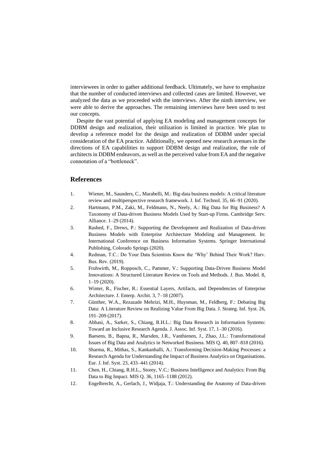interviewees in order to gather additional feedback. Ultimately, we have to emphasize that the number of conducted interviews and collected cases are limited. However, we analyzed the data as we proceeded with the interviews. After the ninth interview, we were able to derive the approaches. The remaining interviews have been used to test our concepts.

Despite the vast potential of applying EA modeling and management concepts for DDBM design and realization, their utilization is limited in practice. We plan to develop a reference model for the design and realization of DDBM under special consideration of the EA practice. Additionally, we opened new research avenues in the directions of EA capabilities to support DDBM design and realization, the role of architects in DDBM endeavors, as well as the perceived value from EA and the negative connotation of a "bottleneck".

## **References**

- 1. Wiener, M., Saunders, C., Marabelli, M.: Big-data business models: A critical literature review and multiperspective research framework. J. Inf. Technol. 35, 66–91 (2020).
- 2. Hartmann, P.M., Zaki, M., Feldmann, N., Neely, A.: Big Data for Big Business? A Taxonomy of Data-driven Business Models Used by Start-up Firms. Cambridge Serv. Alliance. 1–29 (2014).
- 3. Rashed, F., Drews, P.: Supporting the Development and Realization of Data-driven Business Models with Enterprise Architecture Modeling and Management. In: International Conference on Business Information Systems. Springer International Publishing, Colorado Springs (2020).
- 4. Redman, T.C.: Do Your Data Scientists Know the 'Why' Behind Their Work? Harv. Bus. Rev. (2019).
- 5. Fruhwirth, M., Ropposch, C., Pammer, V.: Supporting Data-Driven Business Model Innovations: A Structured Literature Review on Tools and Methods. J. Bus. Model. 8, 1–19 (2020).
- 6. Winter, R., Fischer, R.: Essential Layers, Artifacts, and Dependencies of Enterprise Architecture. J. Enterp. Archit. 3, 7–18 (2007).
- 7. Günther, W.A., Rezazade Mehrizi, M.H., Huysman, M., Feldberg, F.: Debating Big Data: A Literature Review on Realizing Value From Big Data. J. Strateg. Inf. Syst. 26, 191–209 (2017).
- 8. Abbasi, A., Sarker, S., Chiang, R.H.L.: Big Data Research in Information Systems: Toward an Inclusive Research Agenda. J. Assoc. Inf. Syst. 17, 1–30 (2016).
- 9. Baesens, B., Bapna, R., Marsden, J.R., Vanthienen, J., Zhao, J.L.: Transformational Issues of Big Data and Analytics in Networked Business. MIS Q. 40, 807–818 (2016).
- 10. Sharma, R., Mithas, S., Kankanhalli, A.: Transforming Decision-Making Processes: a Research Agenda for Understanding the Impact of Business Analytics on Organisations. Eur. J. Inf. Syst. 23, 433–441 (2014).
- 11. Chen, H., Chiang, R.H.L., Storey, V.C.: Business Intelligence and Analytics: From Big Data to Big Impact. MIS Q. 36, 1165–1188 (2012).
- 12. Engelbrecht, A., Gerlach, J., Widjaja, T.: Understanding the Anatomy of Data-driven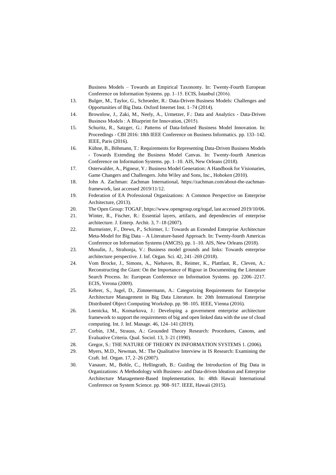Business Models – Towards an Empirical Taxonomy. In: Twenty-Fourth European Conference on Information Systems. pp. 1–15. ECIS, İstanbul (2016).

- 13. Bulger, M., Taylor, G., Schroeder, R.: Data-Driven Business Models: Challenges and Opportunities of Big Data. Oxford Internet Inst. 1–74 (2014).
- 14. Brownlow, J., Zaki, M., Neely, A., Urmetzer, F.: Data and Analytics Data-Driven Business Models : A Blueprint for Innovation, (2015).
- 15. Schuritz, R., Satzger, G.: Patterns of Data-Infused Business Model Innovation. In: Proceedings - CBI 2016: 18th IEEE Conference on Business Informatics. pp. 133–142. IEEE, Paris (2016).
- 16. Kühne, B., Böhmann, T.: Requirements for Representing Data-Driven Business Models - Towards Extending the Business Model Canvas. In: Twenty-fourth Americas Conference on Information Systems. pp. 1–10. AIS, New Orleans (2018).
- 17. Osterwalder, A., Pigneur, Y.: Business Model Generation: A Handbook for Visionaries, Game Changers and Challengers. John Wiley and Sons, Inc., Hoboken (2010).
- 18. John A. Zachman: Zachman International, https://zachman.com/about-the-zachmanframework, last accessed 2019/11/12.
- 19. Federation of EA Professional Organizations: A Common Perspective on Enterprise Architecture, (2013).
- 20. The Open Group: TOGAF, https://www.opengroup.org/togaf, last accessed 2019/10/06.
- 21. Winter, R., Fischer, R.: Essential layers, artifacts, and dependencies of enterprise architecture. J. Enterp. Archit. 3, 7–18 (2007).
- 22. Burmeister, F., Drews, P., Schirmer, I.: Towards an Extended Enterprise Architecture Meta-Model for Big Data – A Literature-based Approach. In: Twenty-fourth Americas Conference on Information Systems (AMCIS). pp. 1–10. AIS, New Orleans (2018).
- 23. Musulin, J., Strahonja, V.: Business model grounds and links: Towards enterprise architecture perspective. J. Inf. Organ. Sci. 42, 241–269 (2018).
- 24. Vom Brocke, J., Simons, A., Niehaves, B., Reimer, K., Plattfaut, R., Cleven, A.: Reconstructing the Giant: On the Importance of Rigour in Documenting the Literature Search Process. In: European Conference on Information Systems. pp. 2206–2217. ECIS, Verona (2009).
- 25. Kehrer, S., Jugel, D., Zimmermann, A.: Categorizing Requirements for Enterprise Architecture Management in Big Data Literature. In: 20th International Enterprise Distributed Object Computing Workshop. pp. 98–105. IEEE, Vienna (2016).
- 26. Lnenicka, M., Komarkova, J.: Developing a government enterprise architecture framework to support the requirements of big and open linked data with the use of cloud computing. Int. J. Inf. Manage. 46, 124–141 (2019).
- 27. Corbin, J.M., Strauss, A.: Grounded Theory Research: Procedures, Canons, and Evaluative Criteria. Qual. Sociol. 13, 3–21 (1990).
- 28. Gregor, S.: THE NATURE OF THEORY IN INFORMATION SYSTEMS 1. (2006).
- 29. Myers, M.D., Newman, M.: The Qualitative Interview in IS Research: Examining the Craft. Inf. Organ. 17, 2–26 (2007).
- 30. Vanauer, M., Bohle, C., Hellingrath, B.: Guiding the Introduction of Big Data in Organizations: A Methodology with Business- and Data-driven Ideation and Enterprise Architecture Management-Based Implementation. In: 48th Hawaii International Conference on System Science. pp. 908–917. IEEE, Hawaii (2015).